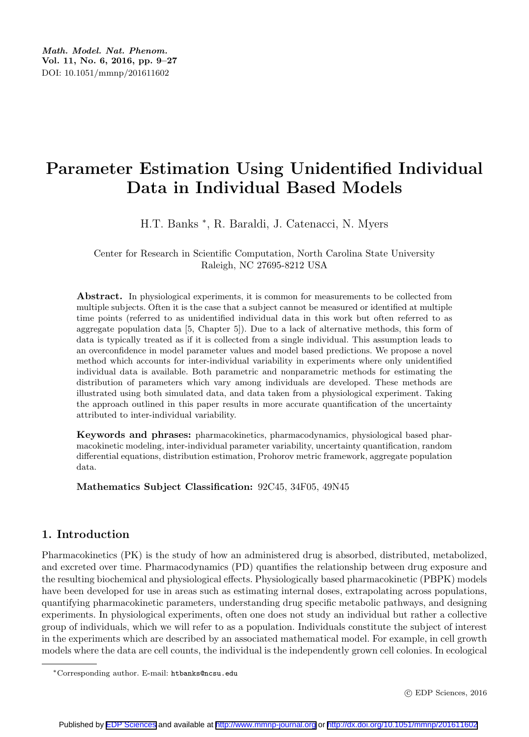# Parameter Estimation Using Unidentified Individual Data in Individual Based Models

H.T. Banks <sup>∗</sup> , R. Baraldi, J. Catenacci, N. Myers

Center for Research in Scientific Computation, North Carolina State University Raleigh, NC 27695-8212 USA

Abstract. In physiological experiments, it is common for measurements to be collected from multiple subjects. Often it is the case that a subject cannot be measured or identified at multiple time points (referred to as unidentified individual data in this work but often referred to as aggregate population data [5, Chapter 5]). Due to a lack of alternative methods, this form of data is typically treated as if it is collected from a single individual. This assumption leads to an overconfidence in model parameter values and model based predictions. We propose a novel method which accounts for inter-individual variability in experiments where only unidentified individual data is available. Both parametric and nonparametric methods for estimating the distribution of parameters which vary among individuals are developed. These methods are illustrated using both simulated data, and data taken from a physiological experiment. Taking the approach outlined in this paper results in more accurate quantification of the uncertainty attributed to inter-individual variability.

Keywords and phrases: pharmacokinetics, pharmacodynamics, physiological based pharmacokinetic modeling, inter-individual parameter variability, uncertainty quantification, random differential equations, distribution estimation, Prohorov metric framework, aggregate population data.

Mathematics Subject Classification: 92C45, 34F05, 49N45

# 1. Introduction

Pharmacokinetics (PK) is the study of how an administered drug is absorbed, distributed, metabolized, and excreted over time. Pharmacodynamics (PD) quantifies the relationship between drug exposure and the resulting biochemical and physiological effects. Physiologically based pharmacokinetic (PBPK) models have been developed for use in areas such as estimating internal doses, extrapolating across populations, quantifying pharmacokinetic parameters, understanding drug specific metabolic pathways, and designing experiments. In physiological experiments, often one does not study an individual but rather a collective group of individuals, which we will refer to as a population. Individuals constitute the subject of interest in the experiments which are described by an associated mathematical model. For example, in cell growth models where the data are cell counts, the individual is the independently grown cell colonies. In ecological

<sup>∗</sup>Corresponding author. E-mail: htbanks@ncsu.edu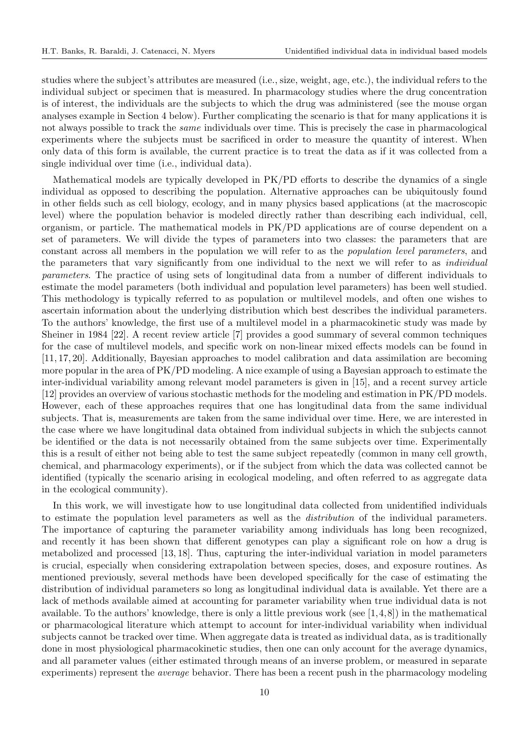studies where the subject's attributes are measured (i.e., size, weight, age, etc.), the individual refers to the individual subject or specimen that is measured. In pharmacology studies where the drug concentration is of interest, the individuals are the subjects to which the drug was administered (see the mouse organ analyses example in Section 4 below). Further complicating the scenario is that for many applications it is not always possible to track the same individuals over time. This is precisely the case in pharmacological experiments where the subjects must be sacrificed in order to measure the quantity of interest. When only data of this form is available, the current practice is to treat the data as if it was collected from a single individual over time (i.e., individual data).

Mathematical models are typically developed in PK/PD efforts to describe the dynamics of a single individual as opposed to describing the population. Alternative approaches can be ubiquitously found in other fields such as cell biology, ecology, and in many physics based applications (at the macroscopic level) where the population behavior is modeled directly rather than describing each individual, cell, organism, or particle. The mathematical models in PK/PD applications are of course dependent on a set of parameters. We will divide the types of parameters into two classes: the parameters that are constant across all members in the population we will refer to as the population level parameters, and the parameters that vary significantly from one individual to the next we will refer to as individual parameters. The practice of using sets of longitudinal data from a number of different individuals to estimate the model parameters (both individual and population level parameters) has been well studied. This methodology is typically referred to as population or multilevel models, and often one wishes to ascertain information about the underlying distribution which best describes the individual parameters. To the authors' knowledge, the first use of a multilevel model in a pharmacokinetic study was made by Sheiner in 1984 [22]. A recent review article [7] provides a good summary of several common techniques for the case of multilevel models, and specific work on non-linear mixed effects models can be found in [11, 17, 20]. Additionally, Bayesian approaches to model calibration and data assimilation are becoming more popular in the area of PK/PD modeling. A nice example of using a Bayesian approach to estimate the inter-individual variability among relevant model parameters is given in [15], and a recent survey article [12] provides an overview of various stochastic methods for the modeling and estimation in PK/PD models. However, each of these approaches requires that one has longitudinal data from the same individual subjects. That is, measurements are taken from the same individual over time. Here, we are interested in the case where we have longitudinal data obtained from individual subjects in which the subjects cannot be identified or the data is not necessarily obtained from the same subjects over time. Experimentally this is a result of either not being able to test the same subject repeatedly (common in many cell growth, chemical, and pharmacology experiments), or if the subject from which the data was collected cannot be identified (typically the scenario arising in ecological modeling, and often referred to as aggregate data in the ecological community).

In this work, we will investigate how to use longitudinal data collected from unidentified individuals to estimate the population level parameters as well as the distribution of the individual parameters. The importance of capturing the parameter variability among individuals has long been recognized, and recently it has been shown that different genotypes can play a significant role on how a drug is metabolized and processed [13, 18]. Thus, capturing the inter-individual variation in model parameters is crucial, especially when considering extrapolation between species, doses, and exposure routines. As mentioned previously, several methods have been developed specifically for the case of estimating the distribution of individual parameters so long as longitudinal individual data is available. Yet there are a lack of methods available aimed at accounting for parameter variability when true individual data is not available. To the authors' knowledge, there is only a little previous work (see  $[1,4,8]$ ) in the mathematical or pharmacological literature which attempt to account for inter-individual variability when individual subjects cannot be tracked over time. When aggregate data is treated as individual data, as is traditionally done in most physiological pharmacokinetic studies, then one can only account for the average dynamics, and all parameter values (either estimated through means of an inverse problem, or measured in separate experiments) represent the *average* behavior. There has been a recent push in the pharmacology modeling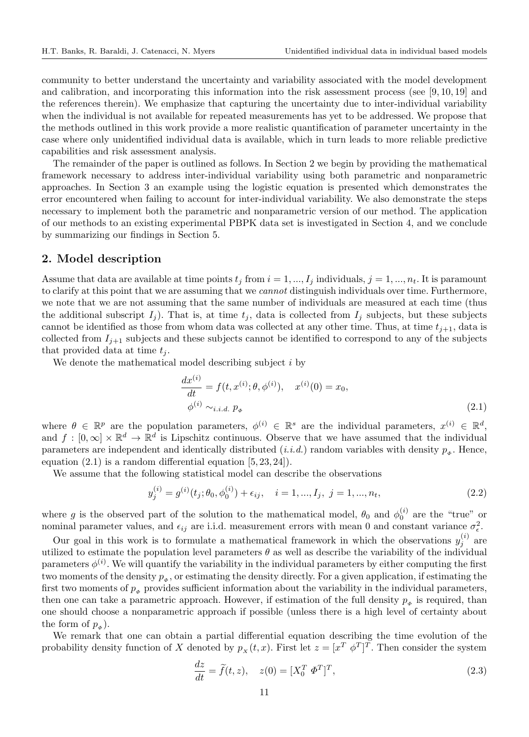community to better understand the uncertainty and variability associated with the model development and calibration, and incorporating this information into the risk assessment process (see [9, 10, 19] and the references therein). We emphasize that capturing the uncertainty due to inter-individual variability when the individual is not available for repeated measurements has yet to be addressed. We propose that the methods outlined in this work provide a more realistic quantification of parameter uncertainty in the case where only unidentified individual data is available, which in turn leads to more reliable predictive capabilities and risk assessment analysis.

The remainder of the paper is outlined as follows. In Section 2 we begin by providing the mathematical framework necessary to address inter-individual variability using both parametric and nonparametric approaches. In Section 3 an example using the logistic equation is presented which demonstrates the error encountered when failing to account for inter-individual variability. We also demonstrate the steps necessary to implement both the parametric and nonparametric version of our method. The application of our methods to an existing experimental PBPK data set is investigated in Section 4, and we conclude by summarizing our findings in Section 5.

## 2. Model description

Assume that data are available at time points  $t_j$  from  $i = 1, ..., I_j$  individuals,  $j = 1, ..., n_t$ . It is paramount to clarify at this point that we are assuming that we *cannot* distinguish individuals over time. Furthermore, we note that we are not assuming that the same number of individuals are measured at each time (thus the additional subscript  $I_i$ ). That is, at time  $t_i$ , data is collected from  $I_i$  subjects, but these subjects cannot be identified as those from whom data was collected at any other time. Thus, at time  $t_{i+1}$ , data is collected from  $I_{j+1}$  subjects and these subjects cannot be identified to correspond to any of the subjects that provided data at time  $t_i$ .

We denote the mathematical model describing subject  $i$  by

$$
\frac{dx^{(i)}}{dt} = f(t, x^{(i)}; \theta, \phi^{(i)}), \quad x^{(i)}(0) = x_0, \phi^{(i)} \sim_{i.i.d.} p_{\phi}
$$
\n(2.1)

where  $\theta \in \mathbb{R}^p$  are the population parameters,  $\phi^{(i)} \in \mathbb{R}^s$  are the individual parameters,  $x^{(i)} \in \mathbb{R}^d$ , and  $f: [0,\infty] \times \mathbb{R}^d \to \mathbb{R}^d$  is Lipschitz continuous. Observe that we have assumed that the individual parameters are independent and identically distributed  $(i.i.d.)$  random variables with density  $p_{\phi}$ . Hence, equation (2.1) is a random differential equation [5, 23, 24]).

We assume that the following statistical model can describe the observations

$$
y_j^{(i)} = g^{(i)}(t_j; \theta_0, \phi_0^{(i)}) + \epsilon_{ij}, \quad i = 1, ..., I_j, \ j = 1, ..., n_t,
$$
\n(2.2)

where g is the observed part of the solution to the mathematical model,  $\theta_0$  and  $\phi_0^{(i)}$  are the "true" or nominal parameter values, and  $\epsilon_{ij}$  are i.i.d. measurement errors with mean 0 and constant variance  $\sigma_{\epsilon}^2$ .

Our goal in this work is to formulate a mathematical framework in which the observations  $y_j^{(i)}$  are utilized to estimate the population level parameters  $\theta$  as well as describe the variability of the individual parameters  $\phi^{(i)}$ . We will quantify the variability in the individual parameters by either computing the first two moments of the density  $p_{\phi}$ , or estimating the density directly. For a given application, if estimating the first two moments of  $p_{\phi}$  provides sufficient information about the variability in the individual parameters, then one can take a parametric approach. However, if estimation of the full density  $p<sub>\phi</sub>$  is required, than one should choose a nonparametric approach if possible (unless there is a high level of certainty about the form of  $p_{\phi}$ ).

We remark that one can obtain a partial differential equation describing the time evolution of the probability density function of X denoted by  $p_x(t, x)$ . First let  $z = [x^T \phi^T]^T$ . Then consider the system

$$
\frac{dz}{dt} = \tilde{f}(t, z), \quad z(0) = [X_0^T \ \Phi^T]^T,\tag{2.3}
$$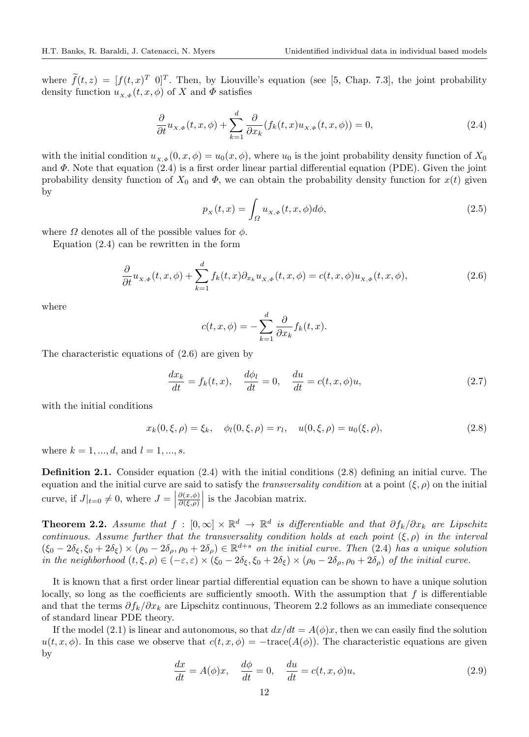where  $f(t, z) = [f(t, x)^T \ 0]^T$ . Then, by Liouville's equation (see [5, Chap. 7.3], the joint probability density function  $u_{X,\phi}(t, x, \phi)$  of X and  $\Phi$  satisfies

$$
\frac{\partial}{\partial t}u_{x,\varphi}(t,x,\phi) + \sum_{k=1}^{d} \frac{\partial}{\partial x_k}(f_k(t,x)u_{x,\varphi}(t,x,\phi)) = 0,
$$
\n(2.4)

with the initial condition  $u_{\chi_{\phi}}(0, x, \phi) = u_0(x, \phi)$ , where  $u_0$  is the joint probability density function of  $X_0$ and  $\Phi$ . Note that equation (2.4) is a first order linear partial differential equation (PDE). Given the joint probability density function of  $X_0$  and  $\Phi$ , we can obtain the probability density function for  $x(t)$  given by

$$
p_{\scriptscriptstyle X}(t,x)=\int_{\varOmega}u_{\scriptscriptstyle X,\varPhi}(t,x,\phi)d\phi,\tag{2.5}
$$

where  $\Omega$  denotes all of the possible values for  $\phi$ .

Equation (2.4) can be rewritten in the form

$$
\frac{\partial}{\partial t}u_{x,\varphi}(t,x,\phi) + \sum_{k=1}^d f_k(t,x)\partial_{x_k}u_{x,\varphi}(t,x,\phi) = c(t,x,\phi)u_{x,\varphi}(t,x,\phi),\tag{2.6}
$$

where

$$
c(t, x, \phi) = -\sum_{k=1}^{d} \frac{\partial}{\partial x_k} f_k(t, x).
$$

The characteristic equations of (2.6) are given by

$$
\frac{dx_k}{dt} = f_k(t, x), \quad \frac{d\phi_l}{dt} = 0, \quad \frac{du}{dt} = c(t, x, \phi)u,
$$
\n(2.7)

with the initial conditions

$$
x_k(0,\xi,\rho) = \xi_k, \quad \phi_l(0,\xi,\rho) = r_l, \quad u(0,\xi,\rho) = u_0(\xi,\rho), \tag{2.8}
$$

where  $k = 1, ..., d$ , and  $l = 1, ..., s$ .

Definition 2.1. Consider equation (2.4) with the initial conditions (2.8) defining an initial curve. The equation and the initial curve are said to satisfy the *transversality condition* at a point  $(\xi, \rho)$  on the initial curve, if  $J|_{t=0} \neq 0$ , where  $J = \begin{bmatrix} 1 \\ 1 \end{bmatrix}$  $\partial(x,\phi)$  $\left. \frac{\partial(x,\phi)}{\partial(\xi,\rho)} \right|$  is the Jacobian matrix.

**Theorem 2.2.** Assume that  $f : [0,\infty] \times \mathbb{R}^d \to \mathbb{R}^d$  is differentiable and that  $\partial f_k/\partial x_k$  are Lipschitz continuous. Assume further that the transversality condition holds at each point  $(\xi, \rho)$  in the interval  $(\xi_0 - 2\delta_{\xi}, \xi_0 + 2\delta_{\xi}) \times (\rho_0 - 2\delta_{\rho}, \rho_0 + 2\delta_{\rho}) \in \mathbb{R}^{d+s}$  on the initial curve. Then (2.4) has a unique solution in the neighborhood  $(t, \xi, \rho) \in (-\varepsilon, \varepsilon) \times (\xi_0 - 2\delta_{\varepsilon}, \xi_0 + 2\delta_{\varepsilon}) \times (\rho_0 - 2\delta_{\rho}, \rho_0 + 2\delta_{\rho})$  of the initial curve.

It is known that a first order linear partial differential equation can be shown to have a unique solution locally, so long as the coefficients are sufficiently smooth. With the assumption that  $f$  is differentiable and that the terms  $\partial f_k/\partial x_k$  are Lipschitz continuous, Theorem 2.2 follows as an immediate consequence of standard linear PDE theory.

If the model (2.1) is linear and autonomous, so that  $dx/dt = A(\phi)x$ , then we can easily find the solution  $u(t, x, \phi)$ . In this case we observe that  $c(t, x, \phi) = -\text{trace}(A(\phi))$ . The characteristic equations are given by

$$
\frac{dx}{dt} = A(\phi)x, \quad \frac{d\phi}{dt} = 0, \quad \frac{du}{dt} = c(t, x, \phi)u,
$$
\n(2.9)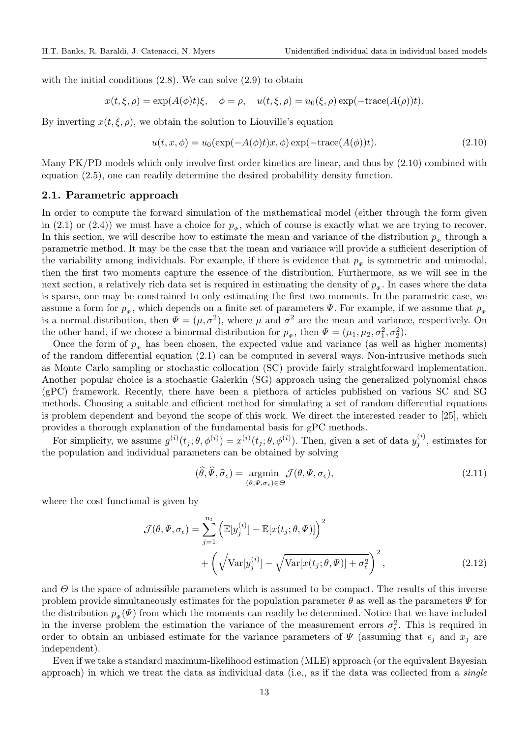with the initial conditions  $(2.8)$ . We can solve  $(2.9)$  to obtain

$$
x(t,\xi,\rho) = \exp(A(\phi)t)\xi, \quad \phi = \rho, \quad u(t,\xi,\rho) = u_0(\xi,\rho)\exp(-\text{trace}(A(\rho))t).
$$

By inverting  $x(t, \xi, \rho)$ , we obtain the solution to Liouville's equation

$$
u(t, x, \phi) = u_0(\exp(-A(\phi)t)x, \phi)\exp(-\text{trace}(A(\phi))t). \tag{2.10}
$$

Many PK/PD models which only involve first order kinetics are linear, and thus by (2.10) combined with equation (2.5), one can readily determine the desired probability density function.

#### 2.1. Parametric approach

In order to compute the forward simulation of the mathematical model (either through the form given in (2.1) or (2.4)) we must have a choice for  $p<sub>\phi</sub>$ , which of course is exactly what we are trying to recover. In this section, we will describe how to estimate the mean and variance of the distribution  $p_{\phi}$  through a parametric method. It may be the case that the mean and variance will provide a sufficient description of the variability among individuals. For example, if there is evidence that  $p<sub>\phi</sub>$  is symmetric and unimodal, then the first two moments capture the essence of the distribution. Furthermore, as we will see in the next section, a relatively rich data set is required in estimating the density of  $p_{\phi}$ . In cases where the data is sparse, one may be constrained to only estimating the first two moments. In the parametric case, we assume a form for  $p_{\phi}$ , which depends on a finite set of parameters  $\Psi$ . For example, if we assume that  $p_{\phi}$ is a normal distribution, then  $\Psi = (\mu, \sigma^2)$ , where  $\mu$  and  $\sigma^2$  are the mean and variance, respectively. On the other hand, if we choose a binormal distribution for  $p_{\phi}$ , then  $\Psi = (\mu_1, \mu_2, \sigma_1^2, \sigma_2^2)$ .

Once the form of  $p_{\phi}$  has been chosen, the expected value and variance (as well as higher moments) of the random differential equation (2.1) can be computed in several ways. Non-intrusive methods such as Monte Carlo sampling or stochastic collocation (SC) provide fairly straightforward implementation. Another popular choice is a stochastic Galerkin (SG) approach using the generalized polynomial chaos (gPC) framework. Recently, there have been a plethora of articles published on various SC and SG methods. Choosing a suitable and efficient method for simulating a set of random differential equations is problem dependent and beyond the scope of this work. We direct the interested reader to [25], which provides a thorough explanation of the fundamental basis for gPC methods.

For simplicity, we assume  $g^{(i)}(t_j; \theta, \phi^{(i)}) = x^{(i)}(t_j; \theta, \phi^{(i)})$ . Then, given a set of data  $y_j^{(i)}$ , estimates for the population and individual parameters can be obtained by solving

$$
(\widehat{\theta}, \widehat{\Psi}, \widehat{\sigma}_{\epsilon}) = \underset{(\theta, \Psi, \sigma_{\epsilon}) \in \Theta}{\operatorname{argmin}} \mathcal{J}(\theta, \Psi, \sigma_{\epsilon}),
$$
\n(2.11)

where the cost functional is given by

$$
\mathcal{J}(\theta, \Psi, \sigma_{\epsilon}) = \sum_{j=1}^{n_t} \left( \mathbb{E}[y_j^{(i)}] - \mathbb{E}[x(t_j; \theta, \Psi)] \right)^2
$$

$$
+ \left( \sqrt{\text{Var}[y_j^{(i)}]} - \sqrt{\text{Var}[x(t_j; \theta, \Psi)] + \sigma_{\epsilon}^2} \right)^2, \qquad (2.12)
$$

and  $\Theta$  is the space of admissible parameters which is assumed to be compact. The results of this inverse problem provide simultaneously estimates for the population parameter  $\theta$  as well as the parameters  $\Psi$  for the distribution  $p_{\phi}(\Psi)$  from which the moments can readily be determined. Notice that we have included in the inverse problem the estimation the variance of the measurement errors  $\sigma_{\epsilon}^2$ . This is required in order to obtain an unbiased estimate for the variance parameters of  $\Psi$  (assuming that  $\epsilon_i$  and  $x_i$  are independent).

Even if we take a standard maximum-likelihood estimation (MLE) approach (or the equivalent Bayesian approach) in which we treat the data as individual data (i.e., as if the data was collected from a *single*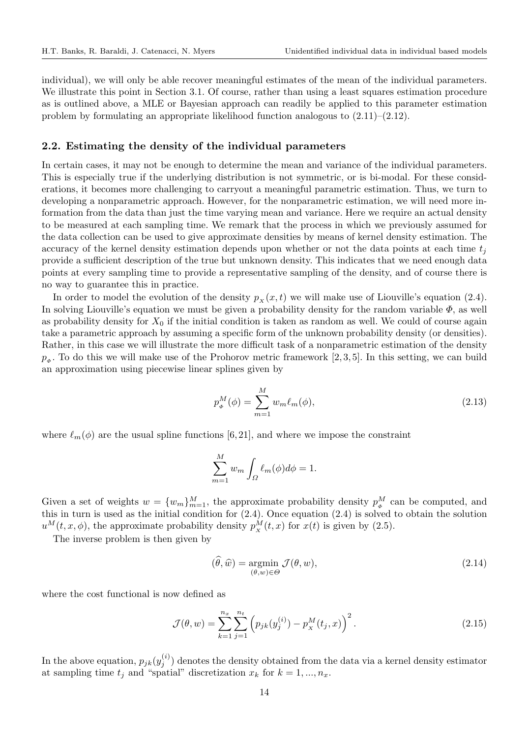individual), we will only be able recover meaningful estimates of the mean of the individual parameters. We illustrate this point in Section 3.1. Of course, rather than using a least squares estimation procedure as is outlined above, a MLE or Bayesian approach can readily be applied to this parameter estimation problem by formulating an appropriate likelihood function analogous to  $(2.11)$ – $(2.12)$ .

#### 2.2. Estimating the density of the individual parameters

In certain cases, it may not be enough to determine the mean and variance of the individual parameters. This is especially true if the underlying distribution is not symmetric, or is bi-modal. For these considerations, it becomes more challenging to carryout a meaningful parametric estimation. Thus, we turn to developing a nonparametric approach. However, for the nonparametric estimation, we will need more information from the data than just the time varying mean and variance. Here we require an actual density to be measured at each sampling time. We remark that the process in which we previously assumed for the data collection can be used to give approximate densities by means of kernel density estimation. The accuracy of the kernel density estimation depends upon whether or not the data points at each time  $t_i$ provide a sufficient description of the true but unknown density. This indicates that we need enough data points at every sampling time to provide a representative sampling of the density, and of course there is no way to guarantee this in practice.

In order to model the evolution of the density  $p<sub>x</sub>(x, t)$  we will make use of Liouville's equation (2.4). In solving Liouville's equation we must be given a probability density for the random variable  $\Phi$ , as well as probability density for  $X_0$  if the initial condition is taken as random as well. We could of course again take a parametric approach by assuming a specific form of the unknown probability density (or densities). Rather, in this case we will illustrate the more difficult task of a nonparametric estimation of the density  $p_{\phi}$ . To do this we will make use of the Prohorov metric framework [2, 3, 5]. In this setting, we can build an approximation using piecewise linear splines given by

$$
p_{\phi}^{M}(\phi) = \sum_{m=1}^{M} w_{m} \ell_{m}(\phi), \qquad (2.13)
$$

where  $\ell_m(\phi)$  are the usual spline functions [6, 21], and where we impose the constraint

$$
\sum_{m=1}^{M} w_m \int_{\Omega} \ell_m(\phi) d\phi = 1.
$$

Given a set of weights  $w = \{w_m\}_{m=1}^M$ , the approximate probability density  $p_{\phi}^M$  can be computed, and this in turn is used as the initial condition for (2.4). Once equation (2.4) is solved to obtain the solution  $u^M(t, x, \phi)$ , the approximate probability density  $p^M_{x}(t, x)$  for  $x(t)$  is given by (2.5).

The inverse problem is then given by

$$
(\hat{\theta}, \hat{w}) = \underset{(\theta, w) \in \Theta}{\operatorname{argmin}} \mathcal{J}(\theta, w),
$$
\n(2.14)

where the cost functional is now defined as

$$
\mathcal{J}(\theta, w) = \sum_{k=1}^{n_x} \sum_{j=1}^{n_t} \left( p_{jk}(y_j^{(i)}) - p_x^M(t_j, x) \right)^2.
$$
 (2.15)

In the above equation,  $p_{jk}(y_j^{(i)})$  denotes the density obtained from the data via a kernel density estimator at sampling time  $t_j$  and "spatial" discretization  $x_k$  for  $k = 1, ..., n_x$ .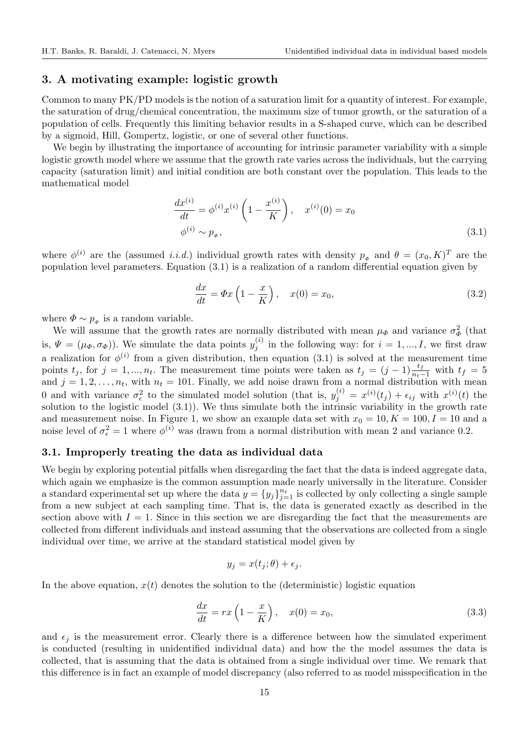## 3. A motivating example: logistic growth

Common to many PK/PD models is the notion of a saturation limit for a quantity of interest. For example, the saturation of drug/chemical concentration, the maximum size of tumor growth, or the saturation of a population of cells. Frequently this limiting behavior results in a S-shaped curve, which can be described by a sigmoid, Hill, Gompertz, logistic, or one of several other functions.

We begin by illustrating the importance of accounting for intrinsic parameter variability with a simple logistic growth model where we assume that the growth rate varies across the individuals, but the carrying capacity (saturation limit) and initial condition are both constant over the population. This leads to the mathematical model

$$
\frac{dx^{(i)}}{dt} = \phi^{(i)} x^{(i)} \left( 1 - \frac{x^{(i)}}{K} \right), \quad x^{(i)}(0) = x_0
$$
\n
$$
\phi^{(i)} \sim p_{\Phi}, \tag{3.1}
$$

where  $\phi^{(i)}$  are the (assumed *i.i.d.*) individual growth rates with density  $p_{\phi}$  and  $\theta = (x_0, K)^T$  are the population level parameters. Equation (3.1) is a realization of a random differential equation given by

$$
\frac{dx}{dt} = \Phi x \left( 1 - \frac{x}{K} \right), \quad x(0) = x_0,\tag{3.2}
$$

where  $\Phi \sim p_{\phi}$  is a random variable.

We will assume that the growth rates are normally distributed with mean  $\mu_{\Phi}$  and variance  $\sigma_{\Phi}^2$  (that is,  $\Psi = (\mu_{\Phi}, \sigma_{\Phi})$ ). We simulate the data points  $y_j^{(i)}$  in the following way: for  $i = 1, ..., I$ , we first draw a realization for  $\phi^{(i)}$  from a given distribution, then equation (3.1) is solved at the measurement time points  $t_j$ , for  $j = 1, ..., n_t$ . The measurement time points were taken as  $t_j = (j-1)\frac{t_f}{n_t-1}$  with  $t_f = 5$ and  $j = 1, 2, \ldots, n_t$ , with  $n_t = 101$ . Finally, we add noise drawn from a normal distribution with mean 0 and with variance  $\sigma_{\epsilon}^2$  to the simulated model solution (that is,  $y_j^{(i)} = x^{(i)}(t_j) + \epsilon_{ij}$  with  $x^{(i)}(t)$  the solution to the logistic model (3.1)). We thus simulate both the intrinsic variability in the growth rate and measurement noise. In Figure 1, we show an example data set with  $x_0 = 10, K = 100, I = 10$  and a noise level of  $\sigma_{\epsilon}^2 = 1$  where  $\phi^{(i)}$  was drawn from a normal distribution with mean 2 and variance 0.2.

### 3.1. Improperly treating the data as individual data

We begin by exploring potential pitfalls when disregarding the fact that the data is indeed aggregate data, which again we emphasize is the common assumption made nearly universally in the literature. Consider a standard experimental set up where the data  $y = \{y_j\}_{j=1}^{n_t}$  is collected by only collecting a single sample from a new subject at each sampling time. That is, the data is generated exactly as described in the section above with  $I = 1$ . Since in this section we are disregarding the fact that the measurements are collected from different individuals and instead assuming that the observations are collected from a single individual over time, we arrive at the standard statistical model given by

$$
y_j = x(t_j; \theta) + \epsilon_j.
$$

In the above equation,  $x(t)$  denotes the solution to the (deterministic) logistic equation

$$
\frac{dx}{dt} = rx\left(1 - \frac{x}{K}\right), \quad x(0) = x_0,\tag{3.3}
$$

and  $\epsilon_j$  is the measurement error. Clearly there is a difference between how the simulated experiment is conducted (resulting in unidentified individual data) and how the the model assumes the data is collected, that is assuming that the data is obtained from a single individual over time. We remark that this difference is in fact an example of model discrepancy (also referred to as model misspecification in the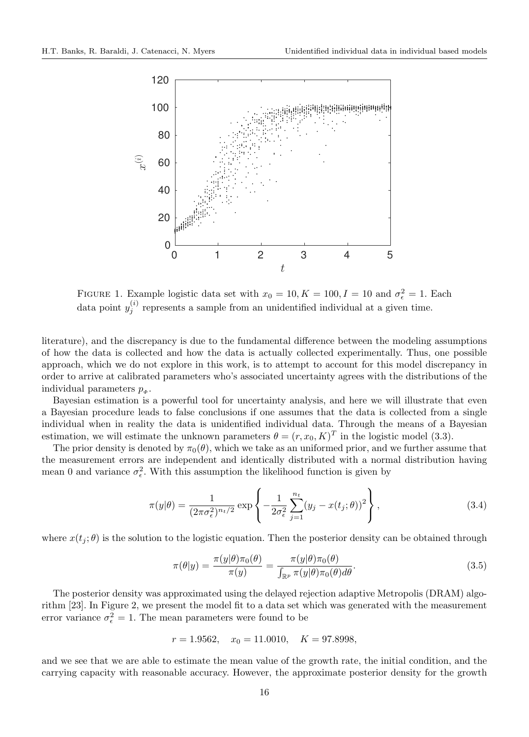

FIGURE 1. Example logistic data set with  $x_0 = 10, K = 100, I = 10$  and  $\sigma_{\epsilon}^2 = 1$ . Each data point  $y_j^{(i)}$  represents a sample from an unidentified individual at a given time.

literature), and the discrepancy is due to the fundamental difference between the modeling assumptions of how the data is collected and how the data is actually collected experimentally. Thus, one possible approach, which we do not explore in this work, is to attempt to account for this model discrepancy in order to arrive at calibrated parameters who's associated uncertainty agrees with the distributions of the individual parameters  $p_{\phi}$ .

Bayesian estimation is a powerful tool for uncertainty analysis, and here we will illustrate that even a Bayesian procedure leads to false conclusions if one assumes that the data is collected from a single individual when in reality the data is unidentified individual data. Through the means of a Bayesian estimation, we will estimate the unknown parameters  $\theta = (r, x_0, K)^T$  in the logistic model (3.3).

The prior density is denoted by  $\pi_0(\theta)$ , which we take as an uniformed prior, and we further assume that the measurement errors are independent and identically distributed with a normal distribution having mean 0 and variance  $\sigma_{\epsilon}^2$ . With this assumption the likelihood function is given by

$$
\pi(y|\theta) = \frac{1}{(2\pi\sigma_{\epsilon}^2)^{n_t/2}} \exp\left\{-\frac{1}{2\sigma_{\epsilon}^2} \sum_{j=1}^{n_t} (y_j - x(t_j; \theta))^2\right\},\tag{3.4}
$$

where  $x(t_i; \theta)$  is the solution to the logistic equation. Then the posterior density can be obtained through

$$
\pi(\theta|y) = \frac{\pi(y|\theta)\pi_0(\theta)}{\pi(y)} = \frac{\pi(y|\theta)\pi_0(\theta)}{\int_{\mathbb{R}^p} \pi(y|\theta)\pi_0(\theta)d\theta}.
$$
\n(3.5)

The posterior density was approximated using the delayed rejection adaptive Metropolis (DRAM) algorithm [23]. In Figure 2, we present the model fit to a data set which was generated with the measurement error variance  $\sigma_{\epsilon}^2 = 1$ . The mean parameters were found to be

$$
r = 1.9562
$$
,  $x_0 = 11.0010$ ,  $K = 97.8998$ ,

and we see that we are able to estimate the mean value of the growth rate, the initial condition, and the carrying capacity with reasonable accuracy. However, the approximate posterior density for the growth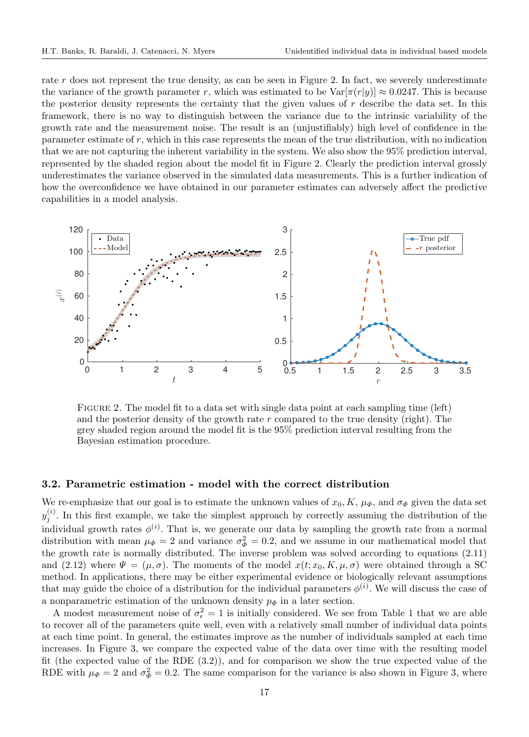rate  $r$  does not represent the true density, as can be seen in Figure 2. In fact, we severely underestimate the variance of the growth parameter r, which was estimated to be  $\text{Var}[\pi(r|y)] \approx 0.0247$ . This is because the posterior density represents the certainty that the given values of  $r$  describe the data set. In this framework, there is no way to distinguish between the variance due to the intrinsic variability of the growth rate and the measurement noise. The result is an (unjustifiably) high level of confidence in the parameter estimate of r, which in this case represents the mean of the true distribution, with no indication that we are not capturing the inherent variability in the system. We also show the 95% prediction interval, represented by the shaded region about the model fit in Figure 2. Clearly the prediction interval grossly underestimates the variance observed in the simulated data measurements. This is a further indication of how the overconfidence we have obtained in our parameter estimates can adversely affect the predictive capabilities in a model analysis.



FIGURE 2. The model fit to a data set with single data point at each sampling time (left) and the posterior density of the growth rate  $r$  compared to the true density (right). The grey shaded region around the model fit is the 95% prediction interval resulting from the Bayesian estimation procedure.

#### 3.2. Parametric estimation - model with the correct distribution

We re-emphasize that our goal is to estimate the unknown values of  $x_0, K, \mu_{\phi}$ , and  $\sigma_{\phi}$  given the data set  $y_j^{(i)}$ . In this first example, we take the simplest approach by correctly assuming the distribution of the individual growth rates  $\phi^{(i)}$ . That is, we generate our data by sampling the growth rate from a normal distribution with mean  $\mu_{\Phi} = 2$  and variance  $\sigma_{\Phi}^2 = 0.2$ , and we assume in our mathematical model that the growth rate is normally distributed. The inverse problem was solved according to equations (2.11) and (2.12) where  $\Psi = (\mu, \sigma)$ . The moments of the model  $x(t; x_0, K, \mu, \sigma)$  were obtained through a SC method. In applications, there may be either experimental evidence or biologically relevant assumptions that may guide the choice of a distribution for the individual parameters  $\phi^{(i)}$ . We will discuss the case of a nonparametric estimation of the unknown density  $p_{\Phi}$  in a later section.

A modest measurement noise of  $\sigma_{\epsilon}^2 = 1$  is initially considered. We see from Table 1 that we are able to recover all of the parameters quite well, even with a relatively small number of individual data points at each time point. In general, the estimates improve as the number of individuals sampled at each time increases. In Figure 3, we compare the expected value of the data over time with the resulting model fit (the expected value of the RDE (3.2)), and for comparison we show the true expected value of the RDE with  $\mu_{\Phi} = 2$  and  $\sigma_{\Phi}^2 = 0.2$ . The same comparison for the variance is also shown in Figure 3, where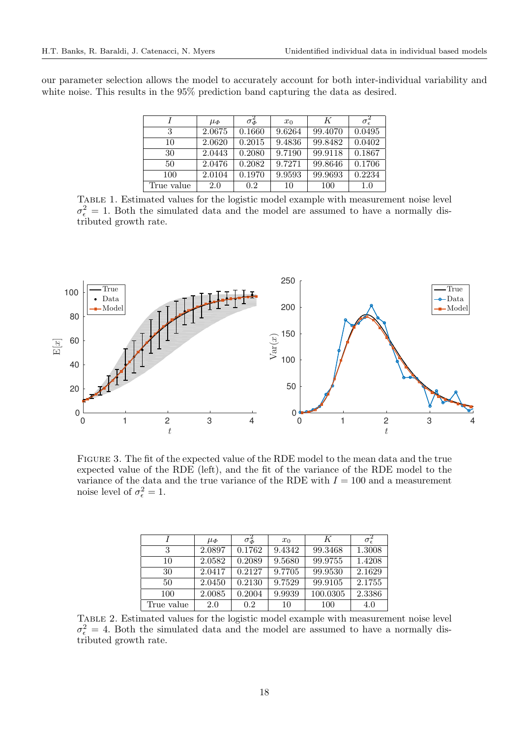our parameter selection allows the model to accurately account for both inter-individual variability and white noise. This results in the 95% prediction band capturing the data as desired.

|            | $\mu_{\Phi}$ | $\sigma^2_{\Phi}$ | $x_0$  | K       | $\sigma_{\epsilon}^2$ |
|------------|--------------|-------------------|--------|---------|-----------------------|
| 3          | 2.0675       | 0.1660            | 9.6264 | 99.4070 | 0.0495                |
| 10         | 2.0620       | 0.2015            | 9.4836 | 99.8482 | 0.0402                |
| 30         | 2.0443       | 0.2080            | 9.7190 | 99.9118 | 0.1867                |
| 50         | 2.0476       | 0.2082            | 9.7271 | 99.8646 | 0.1706                |
| 100        | 2.0104       | 0.1970            | 9.9593 | 99.9693 | 0.2234                |
| True value | 2.0          | 0.2               | 10     | 100     | 1.0                   |

Table 1. Estimated values for the logistic model example with measurement noise level  $\sigma_{\epsilon}^2 = 1$ . Both the simulated data and the model are assumed to have a normally distributed growth rate.



Figure 3. The fit of the expected value of the RDE model to the mean data and the true expected value of the RDE (left), and the fit of the variance of the RDE model to the variance of the data and the true variance of the RDE with  $I = 100$  and a measurement noise level of  $\sigma_{\epsilon}^2 = 1$ .

|            | $\mu_{\Phi}$ | $\sigma^2_{\Phi}$ | $x_0$  | K        | $\sigma_{\epsilon}$ |
|------------|--------------|-------------------|--------|----------|---------------------|
| 3          | 2.0897       | 0.1762            | 9.4342 | 99.3468  | 1.3008              |
| 10         | 2.0582       | 0.2089            | 9.5680 | 99.9755  | 1.4208              |
| 30         | 2.0417       | 0.2127            | 9.7705 | 99.9530  | 2.1629              |
| 50         | 2.0450       | 0.2130            | 9.7529 | 99.9105  | 2.1755              |
| 100        | 2.0085       | 0.2004            | 9.9939 | 100.0305 | 2.3386              |
| True value | 2.0          | 0.2               | 10     | 100      | 4.0                 |

Table 2. Estimated values for the logistic model example with measurement noise level  $\sigma_{\epsilon}^2 = 4$ . Both the simulated data and the model are assumed to have a normally distributed growth rate.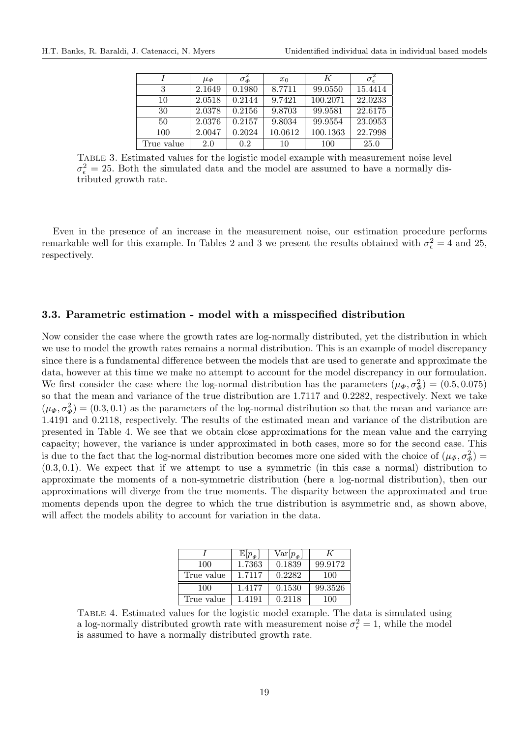|            | $\mu_{\Phi}$ | $\sigma^2_{\Phi}$ | $x_0$   | K        | $\sigma_{\epsilon}^2$ |
|------------|--------------|-------------------|---------|----------|-----------------------|
| 3          | 2.1649       | 0.1980            | 8.7711  | 99.0550  | 15.4414               |
| 10         | 2.0518       | 0.2144            | 9.7421  | 100.2071 | 22.0233               |
| 30         | 2.0378       | 0.2156            | 9.8703  | 99.9581  | 22.6175               |
| 50         | 2.0376       | 0.2157            | 9.8034  | 99.9554  | 23.0953               |
| 100        | 2.0047       | 0.2024            | 10.0612 | 100.1363 | 22.7998               |
| True value | 2.0          | 0.2               | 10      | 100      | 25.0                  |

Table 3. Estimated values for the logistic model example with measurement noise level  $\sigma_{\epsilon}^2 = 25$ . Both the simulated data and the model are assumed to have a normally distributed growth rate.

Even in the presence of an increase in the measurement noise, our estimation procedure performs remarkable well for this example. In Tables 2 and 3 we present the results obtained with  $\sigma_{\epsilon}^2 = 4$  and 25, respectively.

#### 3.3. Parametric estimation - model with a misspecified distribution

Now consider the case where the growth rates are log-normally distributed, yet the distribution in which we use to model the growth rates remains a normal distribution. This is an example of model discrepancy since there is a fundamental difference between the models that are used to generate and approximate the data, however at this time we make no attempt to account for the model discrepancy in our formulation. We first consider the case where the log-normal distribution has the parameters  $(\mu_{\Phi}, \sigma_{\Phi}^2) = (0.5, 0.075)$ so that the mean and variance of the true distribution are 1.7117 and 0.2282, respectively. Next we take  $(\mu_{\Phi}, \sigma_{\Phi}^2) = (0.3, 0.1)$  as the parameters of the log-normal distribution so that the mean and variance are 1.4191 and 0.2118, respectively. The results of the estimated mean and variance of the distribution are presented in Table 4. We see that we obtain close approximations for the mean value and the carrying capacity; however, the variance is under approximated in both cases, more so for the second case. This is due to the fact that the log-normal distribution becomes more one sided with the choice of  $(\mu_{\Phi}, \sigma_{\Phi}^2)$ (0.3, 0.1). We expect that if we attempt to use a symmetric (in this case a normal) distribution to approximate the moments of a non-symmetric distribution (here a log-normal distribution), then our approximations will diverge from the true moments. The disparity between the approximated and true moments depends upon the degree to which the true distribution is asymmetric and, as shown above, will affect the models ability to account for variation in the data.

|            | $\mathbb{E}[p_{\phi}]$ | $\overline{\text{Var}}[p_{\phi}]$ | K       |
|------------|------------------------|-----------------------------------|---------|
| 100        | 1.7363                 | 0.1839                            | 99.9172 |
| True value | 1.7117                 | 0.2282                            | 100     |
| 100        | 1.4177                 | 0.1530                            | 99.3526 |
| True value | 1.4191                 | 0.2118                            | 100     |

Table 4. Estimated values for the logistic model example. The data is simulated using a log-normally distributed growth rate with measurement noise  $\sigma_{\epsilon}^2 = 1$ , while the model is assumed to have a normally distributed growth rate.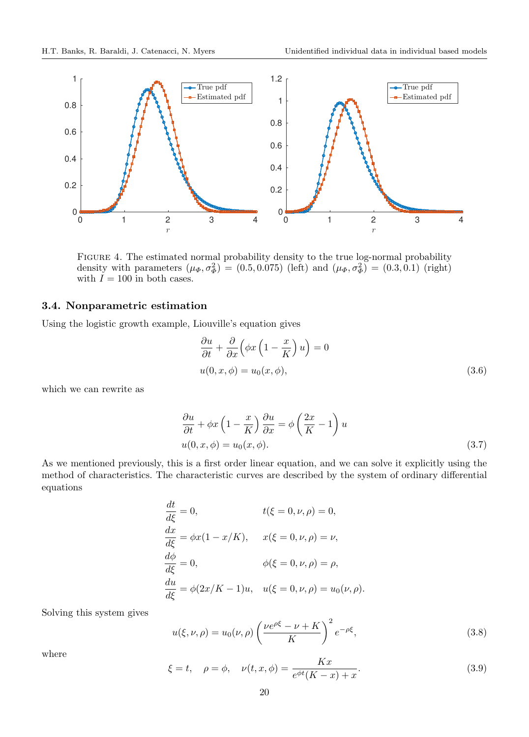

Figure 4. The estimated normal probability density to the true log-normal probability density with parameters  $(\mu_{\Phi}, \sigma_{\Phi}^2) = (0.5, 0.075)$  (left) and  $(\mu_{\Phi}, \sigma_{\Phi}^2) = (0.3, 0.1)$  (right) with  $I = 100$  in both cases.

## 3.4. Nonparametric estimation

Using the logistic growth example, Liouville's equation gives

$$
\frac{\partial u}{\partial t} + \frac{\partial}{\partial x} \left( \phi x \left( 1 - \frac{x}{K} \right) u \right) = 0
$$
  
 
$$
u(0, x, \phi) = u_0(x, \phi),
$$
 (3.6)

which we can rewrite as

$$
\frac{\partial u}{\partial t} + \phi x \left( 1 - \frac{x}{K} \right) \frac{\partial u}{\partial x} = \phi \left( \frac{2x}{K} - 1 \right) u
$$
  
 
$$
u(0, x, \phi) = u_0(x, \phi).
$$
 (3.7)

As we mentioned previously, this is a first order linear equation, and we can solve it explicitly using the method of characteristics. The characteristic curves are described by the system of ordinary differential equations

$$
\frac{dt}{d\xi} = 0, \qquad t(\xi = 0, \nu, \rho) = 0,
$$
  
\n
$$
\frac{dx}{d\xi} = \phi x (1 - x/K), \qquad x(\xi = 0, \nu, \rho) = \nu,
$$
  
\n
$$
\frac{d\phi}{d\xi} = 0, \qquad \phi(\xi = 0, \nu, \rho) = \rho,
$$
  
\n
$$
\frac{du}{d\xi} = \phi(2x/K - 1)u, \quad u(\xi = 0, \nu, \rho) = u_0(\nu, \rho).
$$

Solving this system gives

$$
u(\xi, \nu, \rho) = u_0(\nu, \rho) \left(\frac{\nu e^{\rho \xi} - \nu + K}{K}\right)^2 e^{-\rho \xi}, \tag{3.8}
$$

where

$$
\xi = t, \quad \rho = \phi, \quad \nu(t, x, \phi) = \frac{Kx}{e^{\phi t}(K - x) + x}.\tag{3.9}
$$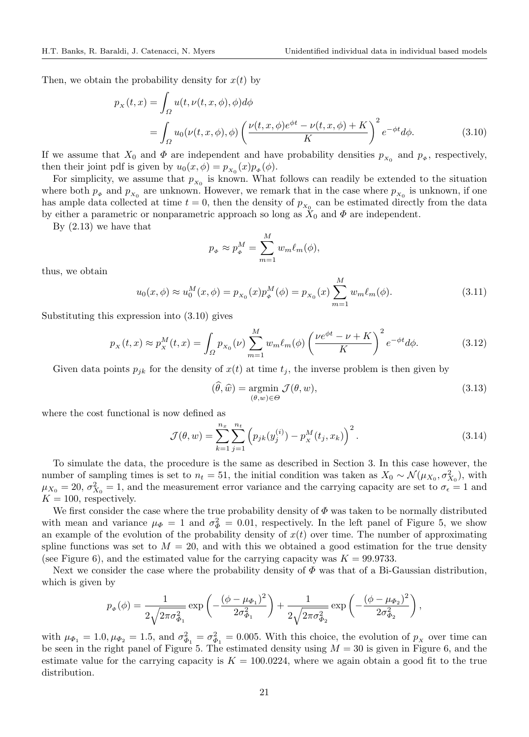Then, we obtain the probability density for  $x(t)$  by

$$
p_X(t,x) = \int_{\Omega} u(t,\nu(t,x,\phi),\phi)d\phi
$$
  
= 
$$
\int_{\Omega} u_0(\nu(t,x,\phi),\phi) \left(\frac{\nu(t,x,\phi)e^{\phi t} - \nu(t,x,\phi) + K}{K}\right)^2 e^{-\phi t}d\phi.
$$
 (3.10)

If we assume that  $X_0$  and  $\Phi$  are independent and have probability densities  $p_{X_0}$  and  $p_{\phi}$ , respectively, then their joint pdf is given by  $u_0(x, \phi) = p_{x_0}(x) p_{\phi}(\phi)$ .

For simplicity, we assume that  $p_{x_0}$  is known. What follows can readily be extended to the situation where both  $p_{\phi}$  and  $p_{x_0}$  are unknown. However, we remark that in the case where  $p_{x_0}$  is unknown, if one has ample data collected at time  $t = 0$ , then the density of  $p_{x_0}$  can be estimated directly from the data by either a parametric or nonparametric approach so long as  $X_0$  and  $\Phi$  are independent.

By (2.13) we have that

$$
p_{\phi} \approx p_{\phi}^{M} = \sum_{m=1}^{M} w_{m} \ell_{m}(\phi),
$$

thus, we obtain

$$
u_0(x,\phi) \approx u_0^M(x,\phi) = p_{x_0}(x)p_{\phi}^M(\phi) = p_{x_0}(x)\sum_{m=1}^M w_m \ell_m(\phi).
$$
 (3.11)

Substituting this expression into (3.10) gives

$$
p_X(t,x) \approx p_X^M(t,x) = \int_{\Omega} p_{X_0}(\nu) \sum_{m=1}^M w_m \ell_m(\phi) \left(\frac{\nu e^{\phi t} - \nu + K}{K}\right)^2 e^{-\phi t} d\phi.
$$
 (3.12)

Given data points  $p_{ik}$  for the density of  $x(t)$  at time  $t_i$ , the inverse problem is then given by

$$
(\hat{\theta}, \hat{w}) = \underset{(\theta, w) \in \Theta}{\text{argmin}} \mathcal{J}(\theta, w),
$$
\n(3.13)

where the cost functional is now defined as

$$
\mathcal{J}(\theta, w) = \sum_{k=1}^{n_x} \sum_{j=1}^{n_t} \left( p_{jk}(y_j^{(i)}) - p_x^M(t_j, x_k) \right)^2.
$$
 (3.14)

To simulate the data, the procedure is the same as described in Section 3. In this case however, the number of sampling times is set to  $n_t = 51$ , the initial condition was taken as  $X_0 \sim \mathcal{N}(\mu_{X_0}, \sigma_{X_0}^2)$ , with  $\mu_{X_0} = 20, \sigma_{X_0}^2 = 1$ , and the measurement error variance and the carrying capacity are set to  $\sigma_{\epsilon} = 1$  and  $K = 100$ , respectively.

We first consider the case where the true probability density of  $\Phi$  was taken to be normally distributed with mean and variance  $\mu_{\Phi} = 1$  and  $\sigma_{\Phi}^2 = 0.01$ , respectively. In the left panel of Figure 5, we show an example of the evolution of the probability density of  $x(t)$  over time. The number of approximating spline functions was set to  $M = 20$ , and with this we obtained a good estimation for the true density (see Figure 6), and the estimated value for the carrying capacity was  $K = 99.9733$ .

Next we consider the case where the probability density of  $\Phi$  was that of a Bi-Gaussian distribution, which is given by

$$
p_{\phi}(\phi) = \frac{1}{2\sqrt{2\pi\sigma_{\Phi_1}^2}} \exp\left(-\frac{(\phi - \mu_{\Phi_1})^2}{2\sigma_{\Phi_1}^2}\right) + \frac{1}{2\sqrt{2\pi\sigma_{\Phi_2}^2}} \exp\left(-\frac{(\phi - \mu_{\Phi_2})^2}{2\sigma_{\Phi_2}^2}\right),
$$

with  $\mu_{\Phi_1} = 1.0, \mu_{\Phi_2} = 1.5$ , and  $\sigma_{\Phi_1}^2 = \sigma_{\Phi_1}^2 = 0.005$ . With this choice, the evolution of  $p_x$  over time can be seen in the right panel of Figure 5. The estimated density using  $M = 30$  is given in Figure 6, and the estimate value for the carrying capacity is  $K = 100.0224$ , where we again obtain a good fit to the true distribution.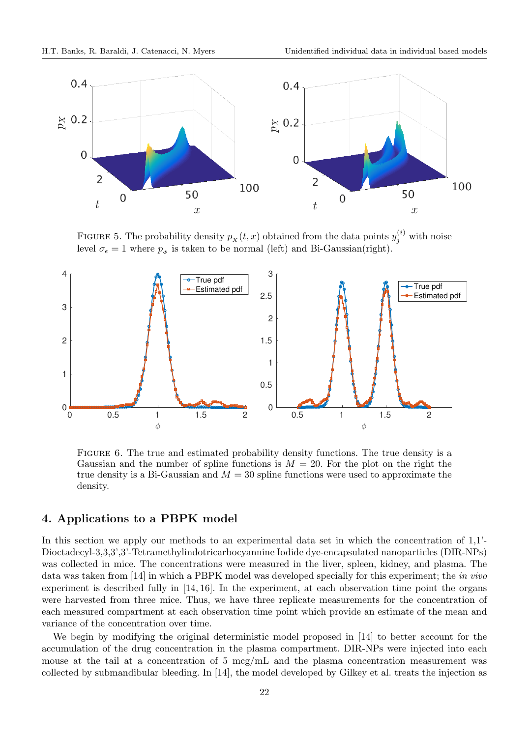

FIGURE 5. The probability density  $p_X(t, x)$  obtained from the data points  $y_j^{(i)}$  with noise level  $\sigma_{\epsilon} = 1$  where  $p_{\phi}$  is taken to be normal (left) and Bi-Gaussian(right).



Figure 6. The true and estimated probability density functions. The true density is a Gaussian and the number of spline functions is  $M = 20$ . For the plot on the right the true density is a Bi-Gaussian and  $M = 30$  spline functions were used to approximate the density.

## 4. Applications to a PBPK model

In this section we apply our methods to an experimental data set in which the concentration of 1,1'-Dioctadecyl-3,3,3',3'-Tetramethylindotricarbocyannine Iodide dye-encapsulated nanoparticles (DIR-NPs) was collected in mice. The concentrations were measured in the liver, spleen, kidney, and plasma. The data was taken from [14] in which a PBPK model was developed specially for this experiment; the in vivo experiment is described fully in [14, 16]. In the experiment, at each observation time point the organs were harvested from three mice. Thus, we have three replicate measurements for the concentration of each measured compartment at each observation time point which provide an estimate of the mean and variance of the concentration over time.

We begin by modifying the original deterministic model proposed in [14] to better account for the accumulation of the drug concentration in the plasma compartment. DIR-NPs were injected into each mouse at the tail at a concentration of 5 mcg/mL and the plasma concentration measurement was collected by submandibular bleeding. In [14], the model developed by Gilkey et al. treats the injection as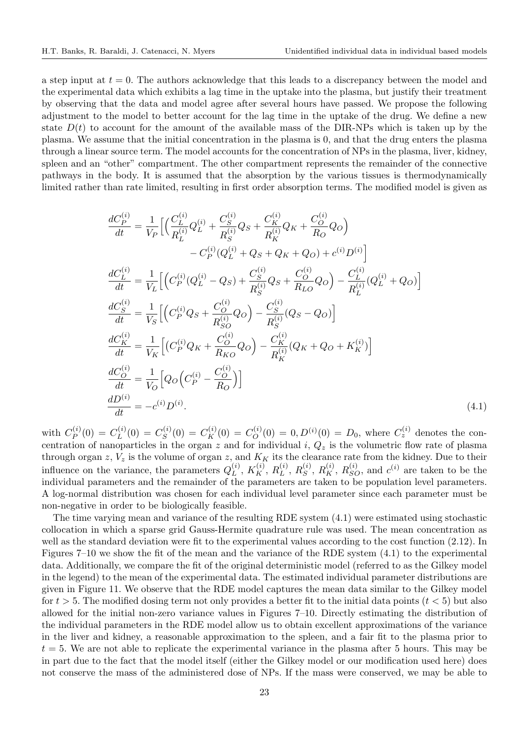a step input at  $t = 0$ . The authors acknowledge that this leads to a discrepancy between the model and the experimental data which exhibits a lag time in the uptake into the plasma, but justify their treatment by observing that the data and model agree after several hours have passed. We propose the following adjustment to the model to better account for the lag time in the uptake of the drug. We define a new state  $D(t)$  to account for the amount of the available mass of the DIR-NPs which is taken up by the plasma. We assume that the initial concentration in the plasma is 0, and that the drug enters the plasma through a linear source term. The model accounts for the concentration of NPs in the plasma, liver, kidney, spleen and an "other" compartment. The other compartment represents the remainder of the connective pathways in the body. It is assumed that the absorption by the various tissues is thermodynamically limited rather than rate limited, resulting in first order absorption terms. The modified model is given as

$$
\frac{dC_P^{(i)}}{dt} = \frac{1}{V_P} \Big[ \Big( \frac{C_L^{(i)}}{R_L^{(i)}} Q_L^{(i)} + \frac{C_S^{(i)}}{R_S^{(i)}} Q_S + \frac{C_K^{(i)}}{R_K^{(i)}} Q_K + \frac{C_O^{(i)}}{R_O} Q_O \Big) \n- C_P^{(i)} (Q_L^{(i)} + Q_S + Q_K + Q_O) + c^{(i)} D^{(i)} \Big] \n\frac{dC_L^{(i)}}{dt} = \frac{1}{V_L} \Big[ \Big( C_P^{(i)} (Q_L^{(i)} - Q_S) + \frac{C_S^{(i)}}{R_S^{(i)}} Q_S + \frac{C_O^{(i)}}{R_{LO}} Q_O \Big) - \frac{C_L^{(i)}}{R_L^{(i)}} (Q_L^{(i)} + Q_O) \Big] \n\frac{dC_S^{(i)}}{dt} = \frac{1}{V_S} \Big[ \Big( C_P^{(i)} Q_S + \frac{C_O^{(i)}}{R_{SO}} Q_O \Big) - \frac{C_S^{(i)}}{R_S^{(i)}} (Q_S - Q_O) \Big] \n\frac{dC_K^{(i)}}{dt} = \frac{1}{V_K} \Big[ \Big( C_P^{(i)} Q_K + \frac{C_O^{(i)}}{R_{KO}} Q_O \Big) - \frac{C_K^{(i)}}{R_K^{(i)}} (Q_K + Q_O + K_K^{(i)}) \Big] \n\frac{dC_O^{(i)}}{dt} = \frac{1}{V_O} \Big[ Q_O \Big( C_P^{(i)} - \frac{C_O^{(i)}}{R_O} \Big) \Big] \n\frac{dD^{(i)}}{dt} = -c^{(i)} D^{(i)}.
$$
\n(4.1)

with  $C_P^{(i)}$  $C_{P}^{(i)}(0) = C_{L}^{(i)}$  $L^{(i)}(0) = C_S^{(i)}$  $S^{(i)}(0) = C_K^{(i)}(0) = C_O^{(i)}(0) = 0, D^{(i)}(0) = D_0$ , where  $C_z^{(i)}$  denotes the concentration of nanoparticles in the organ z and for individual i,  $Q_z$  is the volumetric flow rate of plasma through organ  $z, V_z$  is the volume of organ  $z$ , and  $K_K$  its the clearance rate from the kidney. Due to their influence on the variance, the parameters  $Q_L^{(i)}$  $L^{(i)}$ ,  $K_K^{(i)}$ ,  $R_L^{(i)}$  $L^{(i)}, R_S^{(i)}$  $S^{(i)}$ ,  $R_K^{(i)}$ ,  $R_{SO}^{(i)}$ , and  $c^{(i)}$  are taken to be the individual parameters and the remainder of the parameters are taken to be population level parameters. A log-normal distribution was chosen for each individual level parameter since each parameter must be non-negative in order to be biologically feasible.

The time varying mean and variance of the resulting RDE system (4.1) were estimated using stochastic collocation in which a sparse grid Gauss-Hermite quadrature rule was used. The mean concentration as well as the standard deviation were fit to the experimental values according to the cost function (2.12). In Figures  $7-10$  we show the fit of the mean and the variance of the RDE system  $(4.1)$  to the experimental data. Additionally, we compare the fit of the original deterministic model (referred to as the Gilkey model in the legend) to the mean of the experimental data. The estimated individual parameter distributions are given in Figure 11. We observe that the RDE model captures the mean data similar to the Gilkey model for  $t > 5$ . The modified dosing term not only provides a better fit to the initial data points  $(t < 5)$  but also allowed for the initial non-zero variance values in Figures 7–10. Directly estimating the distribution of the individual parameters in the RDE model allow us to obtain excellent approximations of the variance in the liver and kidney, a reasonable approximation to the spleen, and a fair fit to the plasma prior to  $t = 5$ . We are not able to replicate the experimental variance in the plasma after 5 hours. This may be in part due to the fact that the model itself (either the Gilkey model or our modification used here) does not conserve the mass of the administered dose of NPs. If the mass were conserved, we may be able to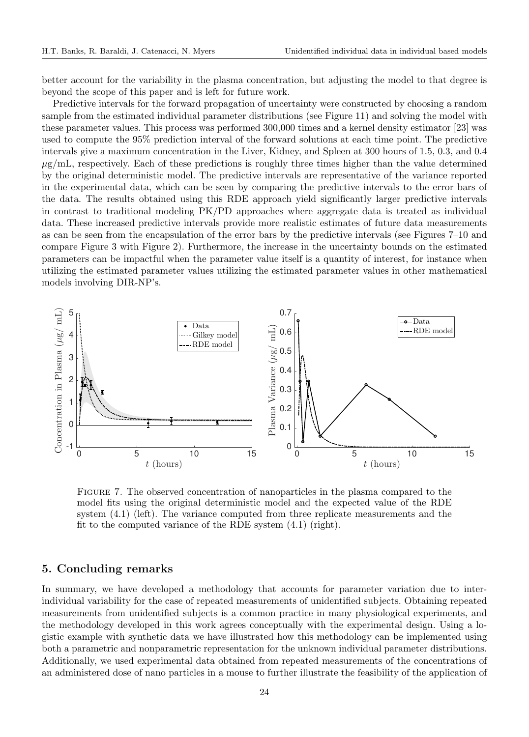better account for the variability in the plasma concentration, but adjusting the model to that degree is beyond the scope of this paper and is left for future work.

Predictive intervals for the forward propagation of uncertainty were constructed by choosing a random sample from the estimated individual parameter distributions (see Figure 11) and solving the model with these parameter values. This process was performed 300,000 times and a kernel density estimator [23] was used to compute the 95% prediction interval of the forward solutions at each time point. The predictive intervals give a maximum concentration in the Liver, Kidney, and Spleen at 300 hours of 1.5, 0.3, and 0.4  $\mu$ g/mL, respectively. Each of these predictions is roughly three times higher than the value determined by the original deterministic model. The predictive intervals are representative of the variance reported in the experimental data, which can be seen by comparing the predictive intervals to the error bars of the data. The results obtained using this RDE approach yield significantly larger predictive intervals in contrast to traditional modeling PK/PD approaches where aggregate data is treated as individual data. These increased predictive intervals provide more realistic estimates of future data measurements as can be seen from the encapsulation of the error bars by the predictive intervals (see Figures 7–10 and compare Figure 3 with Figure 2). Furthermore, the increase in the uncertainty bounds on the estimated parameters can be impactful when the parameter value itself is a quantity of interest, for instance when utilizing the estimated parameter values utilizing the estimated parameter values in other mathematical models involving DIR-NP's.



Figure 7. The observed concentration of nanoparticles in the plasma compared to the model fits using the original deterministic model and the expected value of the RDE system (4.1) (left). The variance computed from three replicate measurements and the fit to the computed variance of the RDE system (4.1) (right).

## 5. Concluding remarks

In summary, we have developed a methodology that accounts for parameter variation due to interindividual variability for the case of repeated measurements of unidentified subjects. Obtaining repeated measurements from unidentified subjects is a common practice in many physiological experiments, and the methodology developed in this work agrees conceptually with the experimental design. Using a logistic example with synthetic data we have illustrated how this methodology can be implemented using both a parametric and nonparametric representation for the unknown individual parameter distributions. Additionally, we used experimental data obtained from repeated measurements of the concentrations of an administered dose of nano particles in a mouse to further illustrate the feasibility of the application of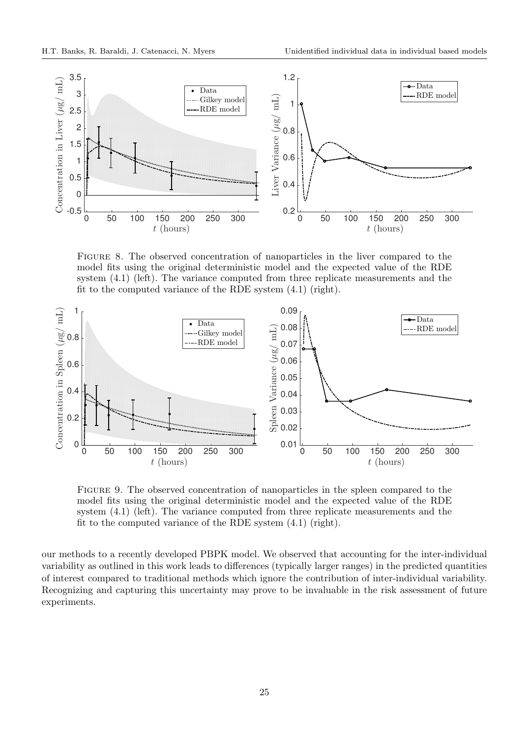

Figure 8. The observed concentration of nanoparticles in the liver compared to the model fits using the original deterministic model and the expected value of the RDE system (4.1) (left). The variance computed from three replicate measurements and the fit to the computed variance of the RDE system (4.1) (right).



Figure 9. The observed concentration of nanoparticles in the spleen compared to the model fits using the original deterministic model and the expected value of the RDE system (4.1) (left). The variance computed from three replicate measurements and the fit to the computed variance of the RDE system (4.1) (right).

our methods to a recently developed PBPK model. We observed that accounting for the inter-individual variability as outlined in this work leads to differences (typically larger ranges) in the predicted quantities of interest compared to traditional methods which ignore the contribution of inter-individual variability. Recognizing and capturing this uncertainty may prove to be invaluable in the risk assessment of future experiments.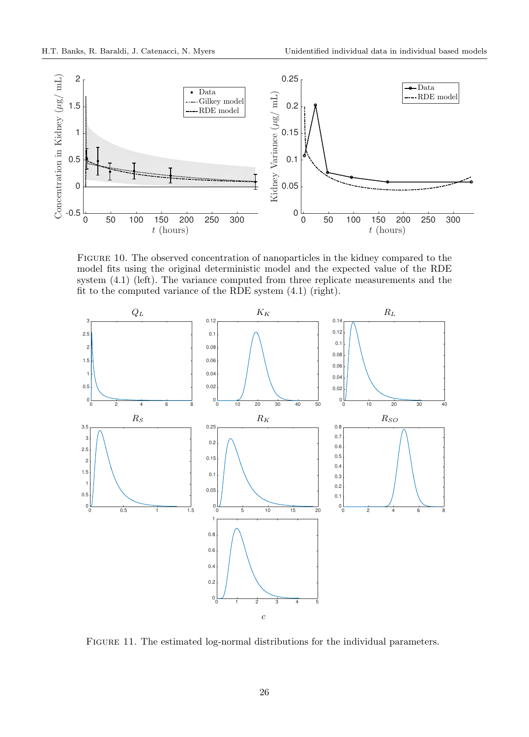

Figure 10. The observed concentration of nanoparticles in the kidney compared to the model fits using the original deterministic model and the expected value of the RDE system (4.1) (left). The variance computed from three replicate measurements and the fit to the computed variance of the RDE system (4.1) (right).



FIGURE 11. The estimated log-normal distributions for the individual parameters.